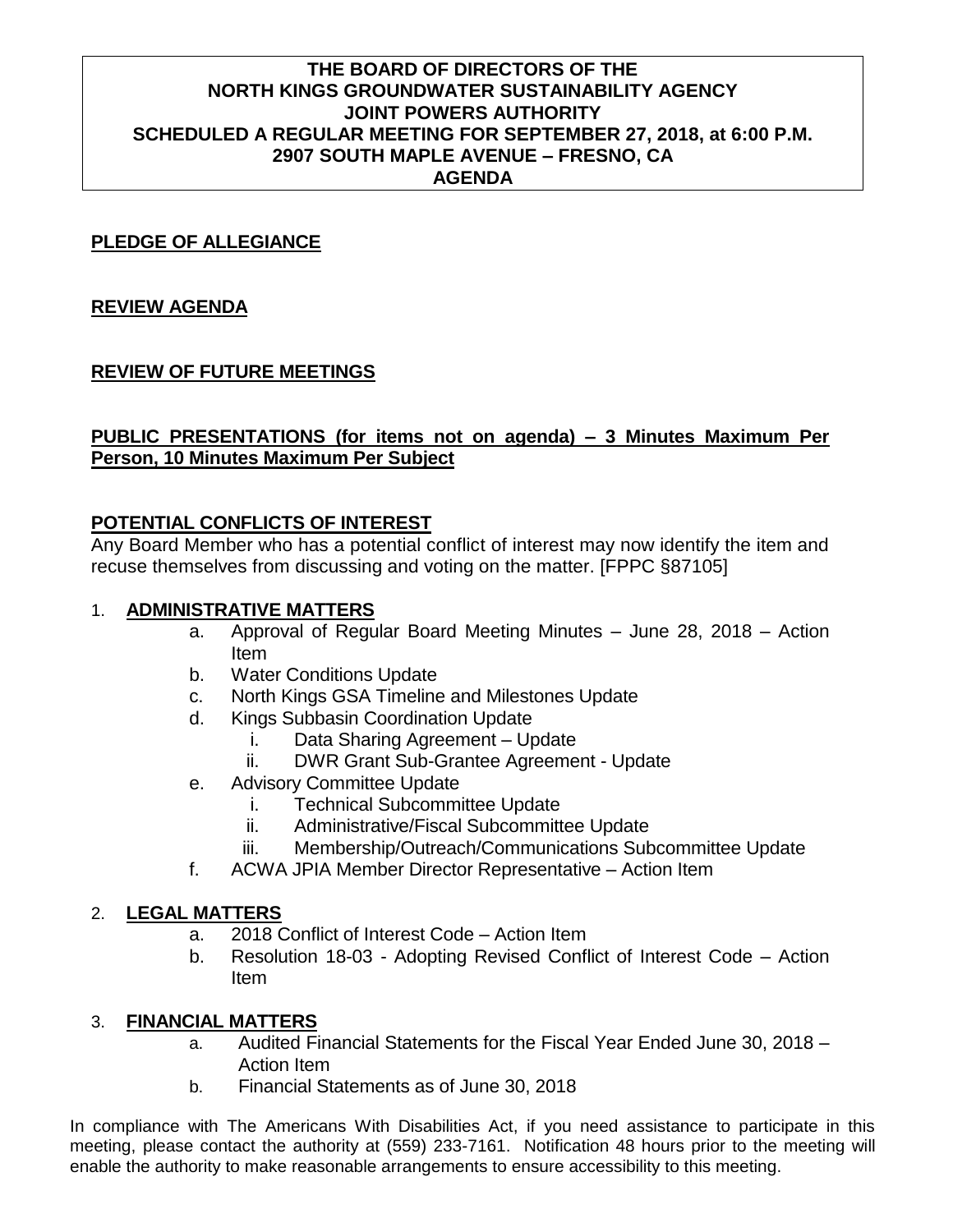#### **THE BOARD OF DIRECTORS OF THE NORTH KINGS GROUNDWATER SUSTAINABILITY AGENCY JOINT POWERS AUTHORITY SCHEDULED A REGULAR MEETING FOR SEPTEMBER 27, 2018, at 6:00 P.M. 2907 SOUTH MAPLE AVENUE – FRESNO, CA AGENDA**

#### **PLEDGE OF ALLEGIANCE**

## **REVIEW AGENDA**

## **REVIEW OF FUTURE MEETINGS**

#### **PUBLIC PRESENTATIONS (for items not on agenda) – 3 Minutes Maximum Per Person, 10 Minutes Maximum Per Subject**

## **POTENTIAL CONFLICTS OF INTEREST**

Any Board Member who has a potential conflict of interest may now identify the item and recuse themselves from discussing and voting on the matter. [FPPC §87105]

## 1. **ADMINISTRATIVE MATTERS**

- a. Approval of Regular Board Meeting Minutes June 28, 2018 Action Item
- b. Water Conditions Update
- c. North Kings GSA Timeline and Milestones Update
- d. Kings Subbasin Coordination Update
	- i. Data Sharing Agreement Update
	- ii. DWR Grant Sub-Grantee Agreement Update
- e. Advisory Committee Update
	- i. Technical Subcommittee Update
	- ii. Administrative/Fiscal Subcommittee Update
	- iii. Membership/Outreach/Communications Subcommittee Update
- f. ACWA JPIA Member Director Representative Action Item

#### 2. **LEGAL MATTERS**

- a. 2018 Conflict of Interest Code Action Item
- b. Resolution 18-03 Adopting Revised Conflict of Interest Code Action Item

#### 3. **FINANCIAL MATTERS**

- a. Audited Financial Statements for the Fiscal Year Ended June 30, 2018 Action Item
- b. Financial Statements as of June 30, 2018

In compliance with The Americans With Disabilities Act, if you need assistance to participate in this meeting, please contact the authority at (559) 233-7161. Notification 48 hours prior to the meeting will enable the authority to make reasonable arrangements to ensure accessibility to this meeting.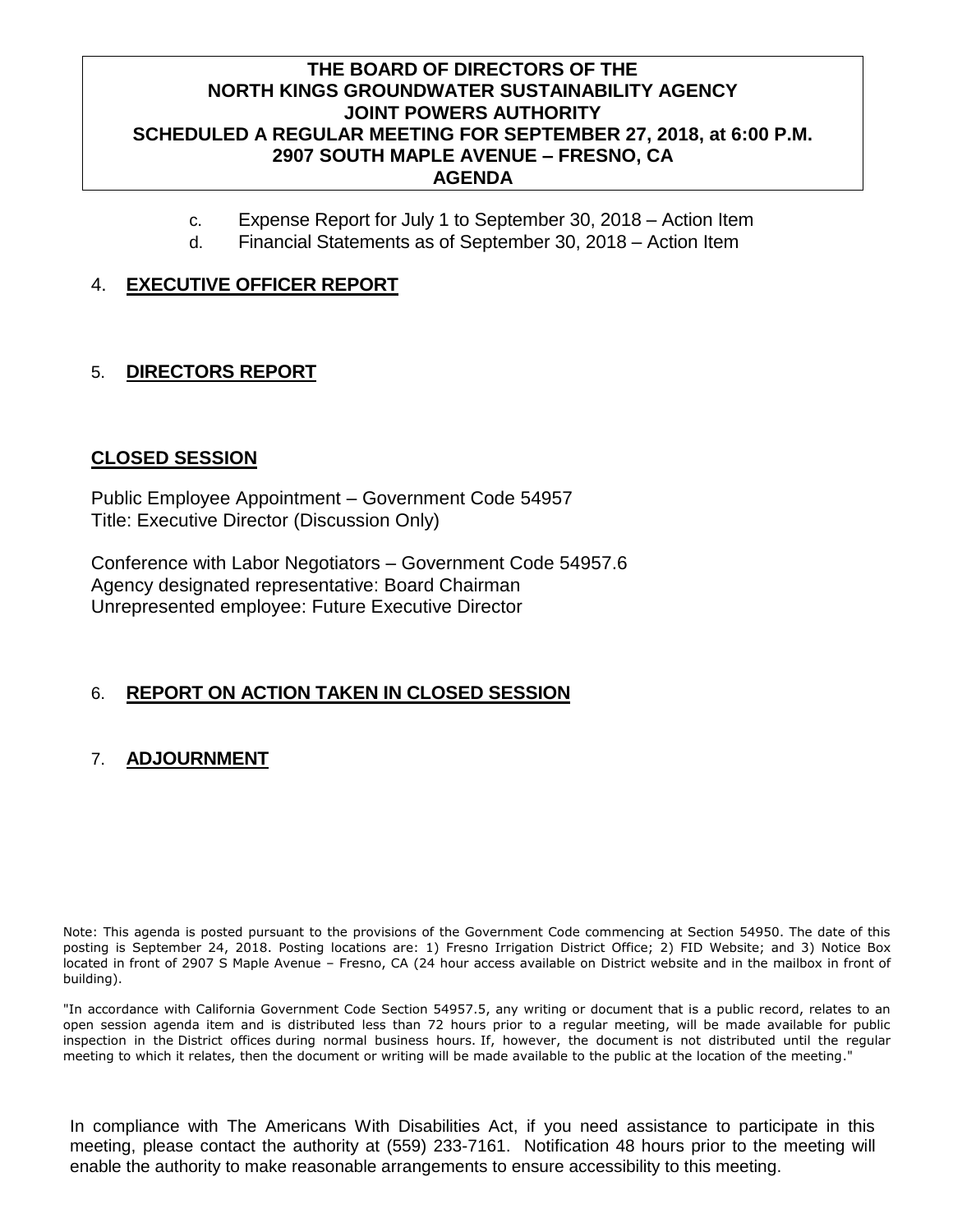#### **THE BOARD OF DIRECTORS OF THE NORTH KINGS GROUNDWATER SUSTAINABILITY AGENCY JOINT POWERS AUTHORITY SCHEDULED A REGULAR MEETING FOR SEPTEMBER 27, 2018, at 6:00 P.M. 2907 SOUTH MAPLE AVENUE – FRESNO, CA AGENDA**

- c. Expense Report for July 1 to September 30, 2018 Action Item
- d. Financial Statements as of September 30, 2018 Action Item

### 4. **EXECUTIVE OFFICER REPORT**

## 5. **DIRECTORS REPORT**

#### **CLOSED SESSION**

Public Employee Appointment – Government Code 54957 Title: Executive Director (Discussion Only)

Conference with Labor Negotiators – Government Code 54957.6 Agency designated representative: Board Chairman Unrepresented employee: Future Executive Director

#### 6. **REPORT ON ACTION TAKEN IN CLOSED SESSION**

#### 7. **ADJOURNMENT**

Note: This agenda is posted pursuant to the provisions of the Government Code commencing at Section 54950. The date of this posting is September 24, 2018. Posting locations are: 1) Fresno Irrigation District Office; 2) FID Website; and 3) Notice Box located in front of 2907 S Maple Avenue – Fresno, CA (24 hour access available on District website and in the mailbox in front of building).

"In accordance with California Government Code Section 54957.5, any writing or document that is a public record, relates to an open session agenda item and is distributed less than 72 hours prior to a regular meeting, will be made available for public inspection in the District offices during normal business hours. If, however, the document is not distributed until the regular meeting to which it relates, then the document or writing will be made available to the public at the location of the meeting."

In compliance with The Americans With Disabilities Act, if you need assistance to participate in this meeting, please contact the authority at (559) 233-7161. Notification 48 hours prior to the meeting will enable the authority to make reasonable arrangements to ensure accessibility to this meeting.